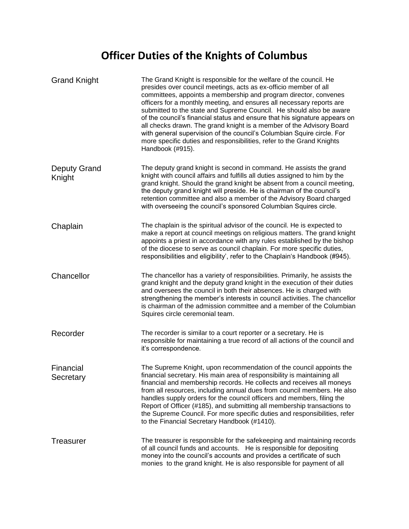## **Officer Duties of the Knights of Columbus**

| <b>Grand Knight</b>           | The Grand Knight is responsible for the welfare of the council. He<br>presides over council meetings, acts as ex-officio member of all<br>committees, appoints a membership and program director, convenes<br>officers for a monthly meeting, and ensures all necessary reports are<br>submitted to the state and Supreme Council. He should also be aware<br>of the council's financial status and ensure that his signature appears on<br>all checks drawn. The grand knight is a member of the Advisory Board<br>with general supervision of the council's Columbian Squire circle. For<br>more specific duties and responsibilities, refer to the Grand Knights<br>Handbook (#915). |
|-------------------------------|-----------------------------------------------------------------------------------------------------------------------------------------------------------------------------------------------------------------------------------------------------------------------------------------------------------------------------------------------------------------------------------------------------------------------------------------------------------------------------------------------------------------------------------------------------------------------------------------------------------------------------------------------------------------------------------------|
| <b>Deputy Grand</b><br>Knight | The deputy grand knight is second in command. He assists the grand<br>knight with council affairs and fulfills all duties assigned to him by the<br>grand knight. Should the grand knight be absent from a council meeting,<br>the deputy grand knight will preside. He is chairman of the council's<br>retention committee and also a member of the Advisory Board charged<br>with overseeing the council's sponsored Columbian Squires circle.                                                                                                                                                                                                                                        |
| Chaplain                      | The chaplain is the spiritual advisor of the council. He is expected to<br>make a report at council meetings on religious matters. The grand knight<br>appoints a priest in accordance with any rules established by the bishop<br>of the diocese to serve as council chaplain. For more specific duties,<br>responsibilities and eligibility', refer to the Chaplain's Handbook (#945).                                                                                                                                                                                                                                                                                                |
| Chancellor                    | The chancellor has a variety of responsibilities. Primarily, he assists the<br>grand knight and the deputy grand knight in the execution of their duties<br>and oversees the council in both their absences. He is charged with<br>strengthening the member's interests in council activities. The chancellor<br>is chairman of the admission committee and a member of the Columbian<br>Squires circle ceremonial team.                                                                                                                                                                                                                                                                |
| Recorder                      | The recorder is similar to a court reporter or a secretary. He is<br>responsible for maintaining a true record of all actions of the council and<br>it's correspondence.                                                                                                                                                                                                                                                                                                                                                                                                                                                                                                                |
| Financial<br>Secretary        | The Supreme Knight, upon recommendation of the council appoints the<br>financial secretary. His main area of responsibility is maintaining all<br>financial and membership records. He collects and receives all moneys<br>from all resources, including annual dues from council members. He also<br>handles supply orders for the council officers and members, filing the<br>Report of Officer (#185), and submitting all membership transactions to<br>the Supreme Council. For more specific duties and responsibilities, refer<br>to the Financial Secretary Handbook (#1410).                                                                                                    |
| <b>Treasurer</b>              | The treasurer is responsible for the safekeeping and maintaining records<br>of all council funds and accounts. He is responsible for depositing<br>money into the council's accounts and provides a certificate of such<br>monies to the grand knight. He is also responsible for payment of all                                                                                                                                                                                                                                                                                                                                                                                        |